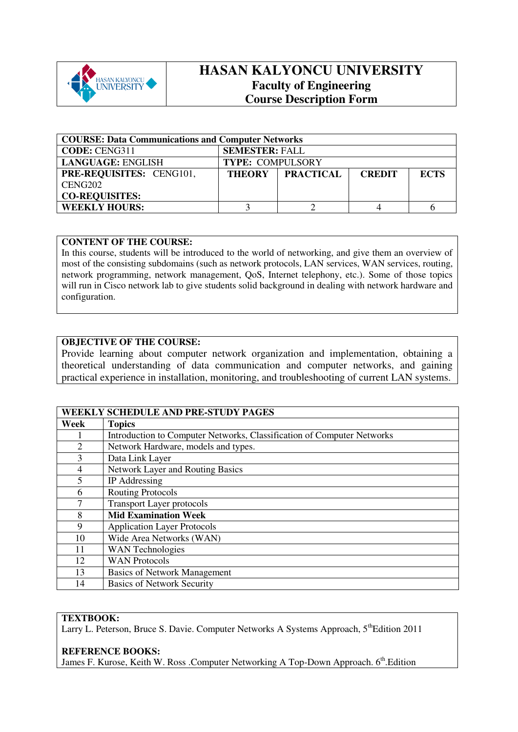

# **HASAN KALYONCU UNIVERSITY Faculty of Engineering Course Description Form**

| <b>COURSE: Data Communications and Computer Networks</b> |                                                                   |  |  |  |  |
|----------------------------------------------------------|-------------------------------------------------------------------|--|--|--|--|
| <b>CODE: CENG311</b>                                     | <b>SEMESTER: FALL</b>                                             |  |  |  |  |
| <b>LANGUAGE: ENGLISH</b>                                 | <b>TYPE: COMPULSORY</b>                                           |  |  |  |  |
| PRE-REQUISITES: CENG101,                                 | <b>PRACTICAL</b><br><b>THEORY</b><br><b>ECTS</b><br><b>CREDIT</b> |  |  |  |  |
| CENG <sub>202</sub>                                      |                                                                   |  |  |  |  |
| <b>CO-REQUISITES:</b>                                    |                                                                   |  |  |  |  |
| <b>WEEKLY HOURS:</b>                                     |                                                                   |  |  |  |  |

## **CONTENT OF THE COURSE:**

In this course, students will be introduced to the world of networking, and give them an overview of most of the consisting subdomains (such as network protocols, LAN services, WAN services, routing, network programming, network management, QoS, Internet telephony, etc.). Some of those topics will run in Cisco network lab to give students solid background in dealing with network hardware and configuration.

# **OBJECTIVE OF THE COURSE:**

Provide learning about computer network organization and implementation, obtaining a theoretical understanding of data communication and computer networks, and gaining practical experience in installation, monitoring, and troubleshooting of current LAN systems.

|                             | <b>WEEKLY SCHEDULE AND PRE-STUDY PAGES</b>                             |
|-----------------------------|------------------------------------------------------------------------|
| Week                        | <b>Topics</b>                                                          |
|                             | Introduction to Computer Networks, Classification of Computer Networks |
| $\mathcal{D}_{\mathcal{L}}$ | Network Hardware, models and types.                                    |
| 3                           | Data Link Layer                                                        |
| 4                           | Network Layer and Routing Basics                                       |
| 5                           | IP Addressing                                                          |
| 6                           | <b>Routing Protocols</b>                                               |
| 7                           | <b>Transport Layer protocols</b>                                       |
| 8                           | <b>Mid Examination Week</b>                                            |
| 9                           | <b>Application Layer Protocols</b>                                     |
| 10                          | Wide Area Networks (WAN)                                               |
| 11                          | <b>WAN</b> Technologies                                                |
| 12                          | <b>WAN Protocols</b>                                                   |
| 13                          | <b>Basics of Network Management</b>                                    |
| 14                          | <b>Basics of Network Security</b>                                      |

## **TEXTBOOK:**

Larry L. Peterson, Bruce S. Davie. Computer Networks A Systems Approach, 5<sup>th</sup>Edition 2011

#### **REFERENCE BOOKS:**

James F. Kurose, Keith W. Ross .Computer Networking A Top-Down Approach. 6<sup>th</sup>.Edition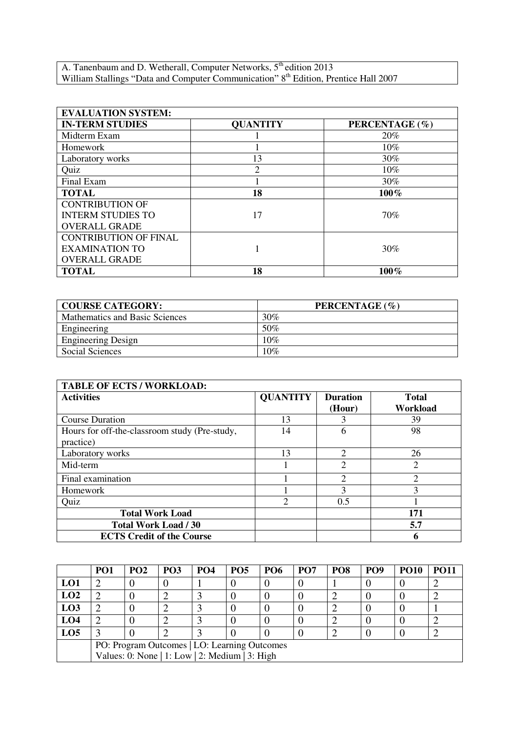A. Tanenbaum and D. Wetherall, Computer Networks,  $5<sup>th</sup>$  edition 2013 William Stallings "Data and Computer Communication" 8<sup>th</sup> Edition, Prentice Hall 2007

| <b>EVALUATION SYSTEM:</b>    |                 |                |  |  |  |  |
|------------------------------|-----------------|----------------|--|--|--|--|
| <b>IN-TERM STUDIES</b>       | <b>QUANTITY</b> | PERCENTAGE (%) |  |  |  |  |
| Midterm Exam                 |                 | 20%            |  |  |  |  |
| Homework                     |                 | 10%            |  |  |  |  |
| Laboratory works             | 13              | 30%            |  |  |  |  |
| Quiz                         | ↑               | 10%            |  |  |  |  |
| Final Exam                   |                 | 30%            |  |  |  |  |
| <b>TOTAL</b>                 | 18              | $100\%$        |  |  |  |  |
| <b>CONTRIBUTION OF</b>       |                 |                |  |  |  |  |
| <b>INTERM STUDIES TO</b>     | 17              | 70%            |  |  |  |  |
| <b>OVERALL GRADE</b>         |                 |                |  |  |  |  |
| <b>CONTRIBUTION OF FINAL</b> |                 |                |  |  |  |  |
| <b>EXAMINATION TO</b>        |                 | 30%            |  |  |  |  |
| <b>OVERALL GRADE</b>         |                 |                |  |  |  |  |
| <b>TOTAL</b>                 | 18              | 100%           |  |  |  |  |

| <b>COURSE CATEGORY:</b>        | PERCENTAGE (%) |
|--------------------------------|----------------|
| Mathematics and Basic Sciences | 30%            |
| Engineering                    | 50%            |
| <b>Engineering Design</b>      | 10%            |
| Social Sciences                | 10%            |

| <b>TABLE OF ECTS / WORKLOAD:</b>                           |                 |                             |                          |  |  |
|------------------------------------------------------------|-----------------|-----------------------------|--------------------------|--|--|
| <b>Activities</b>                                          | <b>QUANTITY</b> | <b>Duration</b><br>(Hour)   | <b>Total</b><br>Workload |  |  |
| <b>Course Duration</b>                                     | 13              |                             | 39                       |  |  |
| Hours for off-the-classroom study (Pre-study,<br>practice) | 14              | 6                           | 98                       |  |  |
| Laboratory works                                           | 13              | $\mathcal{D}_{\mathcal{A}}$ | 26                       |  |  |
| Mid-term                                                   |                 | 2                           | $\overline{2}$           |  |  |
| Final examination                                          |                 | $\mathcal{D}$               | $\overline{2}$           |  |  |
| Homework                                                   |                 | 3                           | 3                        |  |  |
| Quiz                                                       | $\overline{c}$  | 0.5                         |                          |  |  |
| <b>Total Work Load</b>                                     |                 |                             | 171                      |  |  |
| <b>Total Work Load / 30</b>                                |                 |                             | 5.7                      |  |  |
| <b>ECTS Credit of the Course</b>                           |                 |                             | 6                        |  |  |

|                 | PO <sub>1</sub>                                | PO <sub>2</sub> | PO <sub>3</sub> | PO <sub>4</sub> | <b>PO5</b> | <b>PO6</b> | PO <sub>7</sub> | PO <sub>8</sub> | PO <sub>9</sub> | <b>PO10</b> | PO11 |
|-----------------|------------------------------------------------|-----------------|-----------------|-----------------|------------|------------|-----------------|-----------------|-----------------|-------------|------|
| LO1             |                                                |                 |                 |                 |            |            |                 |                 |                 |             |      |
| LO2             |                                                |                 |                 |                 |            |            |                 |                 |                 |             |      |
| LO <sub>3</sub> |                                                |                 |                 |                 |            |            |                 |                 |                 |             |      |
| LO <sub>4</sub> |                                                |                 |                 |                 |            |            |                 |                 |                 |             |      |
| LO <sub>5</sub> |                                                |                 |                 |                 |            |            |                 |                 |                 |             |      |
|                 | PO: Program Outcomes   LO: Learning Outcomes   |                 |                 |                 |            |            |                 |                 |                 |             |      |
|                 | Values: 0: None   1: Low   2: Medium   3: High |                 |                 |                 |            |            |                 |                 |                 |             |      |